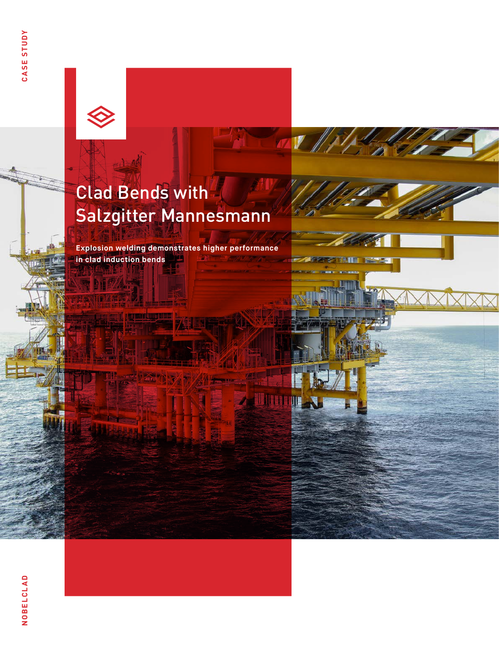

# Clad Bends with Salzgitter Mannesmann

 $\boldsymbol{V}$ 

**Zallinin** 

III

**Explosion welding demonstrates higher performance in clad induction bends** بالزاة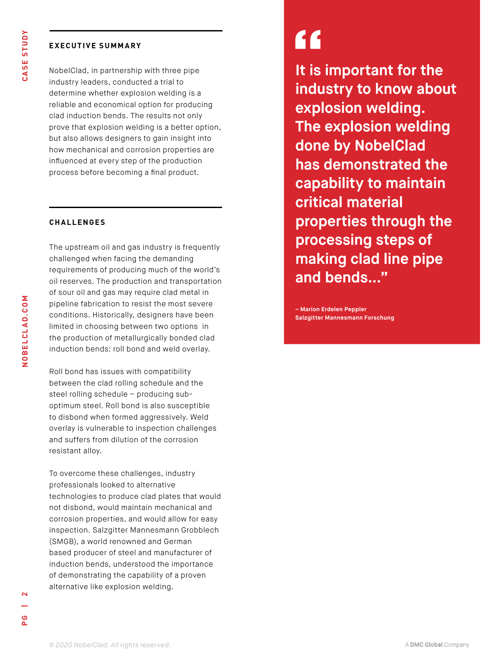### **EXECUTIVE SUMMARY**

NobelClad, in partnership with three pipe industry leaders, conducted a trial to determine whether explosion welding is a reliable and economical option for producing clad induction bends. The results not only prove that explosion welding is a better option, but also allows designers to gain insight into how mechanical and corrosion properties are influenced at every step of the production process before becoming a final product.

### **CHALLENGES**

The upstream oil and gas industry is frequently challenged when facing the demanding requirements of producing much of the world's oil reserves. The production and transportation of sour oil and gas may require clad metal in pipeline fabrication to resist the most severe conditions. Historically, designers have been limited in choosing between two options in the production of metallurgically bonded clad induction bends: roll bond and weld overlay.

Roll bond has issues with compatibility between the clad rolling schedule and the steel rolling schedule – producing suboptimum steel. Roll bond is also susceptible to disbond when formed aggressively. Weld overlay is vulnerable to inspection challenges and suffers from dilution of the corrosion resistant alloy.

To overcome these challenges, industry professionals looked to alternative technologies to produce clad plates that would not disbond, would maintain mechanical and corrosion properties, and would allow for easy inspection. Salzgitter Mannesmann Grobblech (SMGB), a world renowned and German based producer of steel and manufacturer of induction bends, understood the importance of demonstrating the capability of a proven alternative like explosion welding.

# "

**It is important for the industry to know about explosion welding. The explosion welding done by NobelClad has demonstrated the capability to maintain critical material properties through the processing steps of making clad line pipe and bends..."**

**– Marion Erdelen Peppler Salzgitter Mannesmann Forschung**

o<br>A

**NOBELCLAD.COM**

NOBELCLAD.COM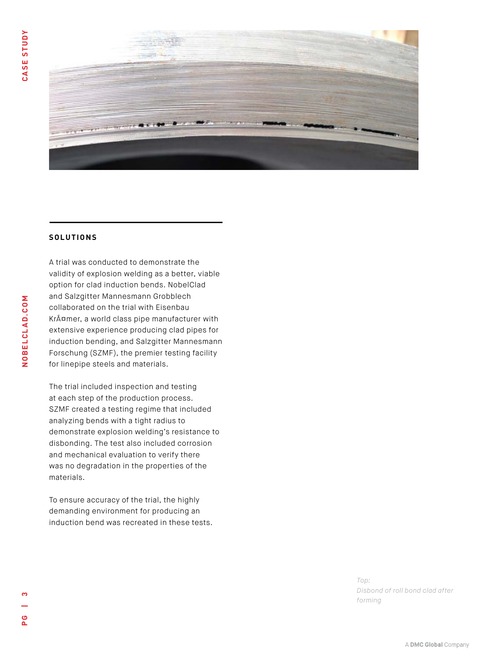

#### **SOLUTIONS**

A trial was conducted to demonstrate the validity of explosion welding as a better, viable option for clad induction bends. NobelClad and Salzgitter Mannesmann Grobblech collaborated on the trial with Eisenbau Krämer, a world class pipe manufacturer with extensive experience producing clad pipes for induction bending, and Salzgitter Mannesmann Forschung (SZMF), the premier testing facility for linepipe steels and materials.

The trial included inspection and testing at each step of the production process. SZMF created a testing regime that included analyzing bends with a tight radius to demonstrate explosion welding's resistance to disbonding. The test also included corrosion and mechanical evaluation to verify there was no degradation in the properties of the materials.

To ensure accuracy of the trial, the highly demanding environment for producing an induction bend was recreated in these tests.

> *Top: Disbond of roll bond clad after forming*